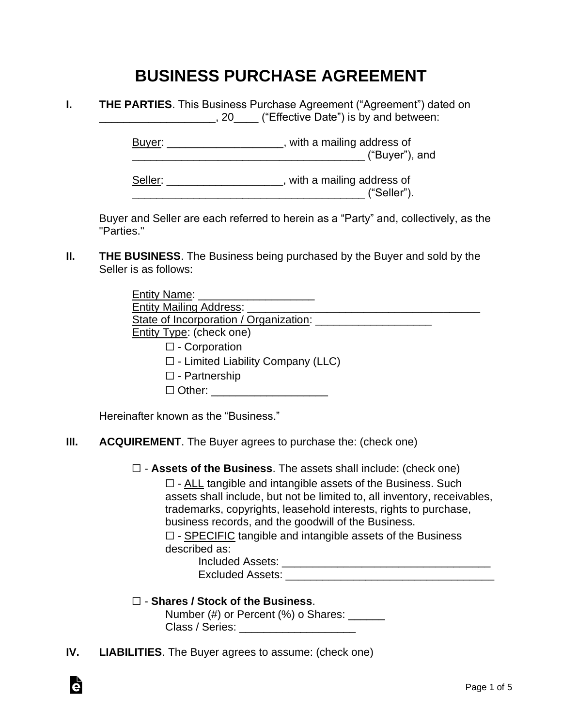# **BUSINESS PURCHASE AGREEMENT**

| <b>THE PARTIES.</b> This Business Purchase Agreement ("Agreement") dated on |
|-----------------------------------------------------------------------------|
| ("Effective Date") is by and between:<br>.20                                |

Buyer: \_\_\_\_\_\_\_\_\_\_\_\_\_\_\_\_\_\_\_\_, with a mailing address of \_\_\_\_\_\_\_\_\_\_\_\_\_\_\_\_\_\_\_\_\_\_\_\_\_\_\_\_\_\_\_\_\_\_\_\_\_\_ ("Buyer"), and

Seller: \_\_\_\_\_\_\_\_\_\_\_\_\_\_\_\_\_\_\_\_, with a mailing address of \_\_\_\_\_\_\_\_\_\_\_\_\_\_\_\_\_\_\_\_\_\_\_\_\_\_\_\_\_\_\_\_\_\_\_\_\_\_ ("Seller").

Buyer and Seller are each referred to herein as a "Party" and, collectively, as the "Parties."

**II. THE BUSINESS**. The Business being purchased by the Buyer and sold by the Seller is as follows:

| <b>Entity Name:</b>                      |  |
|------------------------------------------|--|
| <b>Entity Mailing Address:</b>           |  |
| State of Incorporation / Organization:   |  |
| <b>Entity Type: (check one)</b>          |  |
| $\square$ - Corporation                  |  |
| $\Box$ - Limited Liability Company (LLC) |  |
| $\Box$ - Partnership                     |  |
| $\Box$ Other:                            |  |

Hereinafter known as the "Business."

### **III. ACQUIREMENT**. The Buyer agrees to purchase the: (check one)

☐ - **Assets of the Business**. The assets shall include: (check one)

 $\Box$  - ALL tangible and intangible assets of the Business. Such assets shall include, but not be limited to, all inventory, receivables, trademarks, copyrights, leasehold interests, rights to purchase, business records, and the goodwill of the Business.

 $\Box$  - SPECIFIC tangible and intangible assets of the Business described as:

> Included Assets: **with a set of the set of the set of the set of the set of the set of the set of the set of the set of the set of the set of the set of the set of the set of the set of the set of the set of the set of the** Excluded Assets: \_\_\_\_\_\_\_\_\_\_\_\_\_\_\_\_\_\_\_\_\_\_\_\_\_\_\_\_\_\_\_\_\_\_

## ☐ - **Shares / Stock of the Business**.

|                 | Number (#) or Percent (%) o Shares: |
|-----------------|-------------------------------------|
| Class / Series: |                                     |

**IV. LIABILITIES**. The Buyer agrees to assume: (check one)

à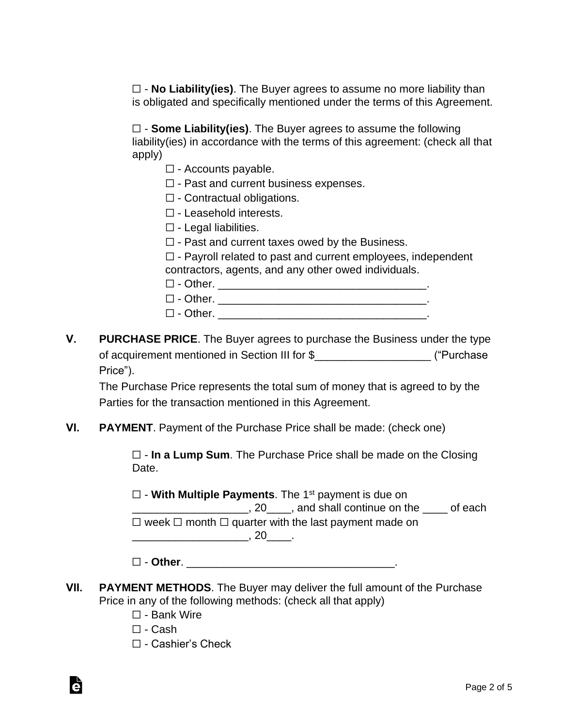☐ - **No Liability(ies)**. The Buyer agrees to assume no more liability than is obligated and specifically mentioned under the terms of this Agreement.

☐ - **Some Liability(ies)**. The Buyer agrees to assume the following liability(ies) in accordance with the terms of this agreement: (check all that apply)

- $\Box$  Accounts payable.
- ☐ Past and current business expenses.
- ☐ Contractual obligations.
- ☐ Leasehold interests.
- ☐ Legal liabilities.
- $\Box$  Past and current taxes owed by the Business.

☐ - Payroll related to past and current employees, independent contractors, agents, and any other owed individuals.

- 
- ☐ Other. \_\_\_\_\_\_\_\_\_\_\_\_\_\_\_\_\_\_\_\_\_\_\_\_\_\_\_\_\_\_\_\_\_\_. ☐ - Other. \_\_\_\_\_\_\_\_\_\_\_\_\_\_\_\_\_\_\_\_\_\_\_\_\_\_\_\_\_\_\_\_\_\_.
- $\Box$  Other.
- **V. PURCHASE PRICE**. The Buyer agrees to purchase the Business under the type of acquirement mentioned in Section III for \$  $($ "Purchase Price").

The Purchase Price represents the total sum of money that is agreed to by the Parties for the transaction mentioned in this Agreement.

**VI. PAYMENT**. Payment of the Purchase Price shall be made: (check one)

☐ - **In a Lump Sum**. The Purchase Price shall be made on the Closing Date.

☐ - **With Multiple Payments**. The 1st payment is due on \_\_\_\_\_\_\_\_\_\_\_\_\_\_\_\_\_\_\_, 20\_\_\_\_, and shall continue on the \_\_\_\_ of each  $\Box$  week  $\Box$  month  $\Box$  quarter with the last payment made on \_\_\_\_\_\_\_\_\_\_\_\_\_\_\_\_\_\_\_, 20\_\_\_\_.

☐ - **Other**. \_\_\_\_\_\_\_\_\_\_\_\_\_\_\_\_\_\_\_\_\_\_\_\_\_\_\_\_\_\_\_\_\_\_.

- **VII. PAYMENT METHODS**. The Buyer may deliver the full amount of the Purchase Price in any of the following methods: (check all that apply)
	- ☐ Bank Wire
	- $\Box$  Cash

Ġ

☐ - Cashier's Check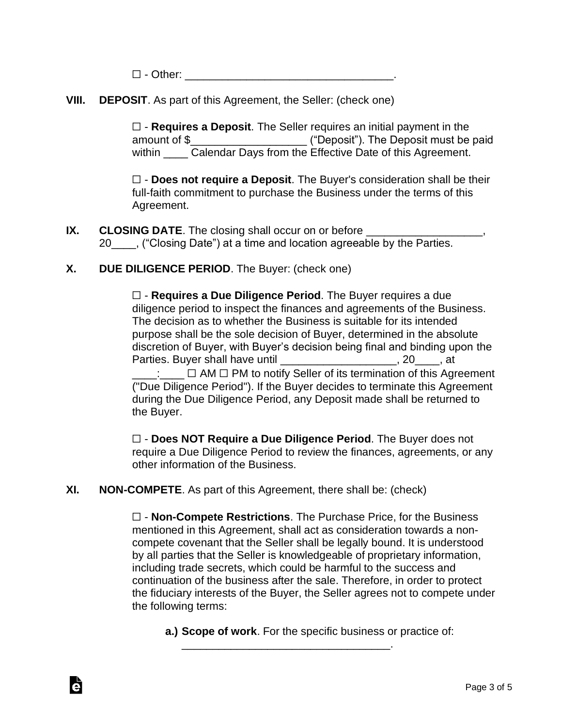$\Box$  - Other:

**VIII. DEPOSIT**. As part of this Agreement, the Seller: (check one)

☐ - **Requires a Deposit**. The Seller requires an initial payment in the amount of \$\_\_\_\_\_\_\_\_\_\_\_\_\_\_\_\_\_\_\_ ("Deposit"). The Deposit must be paid within Calendar Days from the Effective Date of this Agreement.

☐ - **Does not require a Deposit**. The Buyer's consideration shall be their full-faith commitment to purchase the Business under the terms of this Agreement.

**IX. CLOSING DATE**. The closing shall occur on or before 20 ("Closing Date") at a time and location agreeable by the Parties.

### **X. DUE DILIGENCE PERIOD**. The Buyer: (check one)

☐ - **Requires a Due Diligence Period**. The Buyer requires a due diligence period to inspect the finances and agreements of the Business. The decision as to whether the Business is suitable for its intended purpose shall be the sole decision of Buyer, determined in the absolute discretion of Buyer, with Buyer's decision being final and binding upon the Parties. Buyer shall have until \_\_\_\_\_\_\_\_\_\_\_\_\_\_\_\_\_\_\_\_, 20\_\_\_\_, at ∴\_\_\_\_ □ AM □ PM to notify Seller of its termination of this Agreement

("Due Diligence Period"). If the Buyer decides to terminate this Agreement during the Due Diligence Period, any Deposit made shall be returned to the Buyer.

☐ - **Does NOT Require a Due Diligence Period**. The Buyer does not require a Due Diligence Period to review the finances, agreements, or any other information of the Business.

**XI. NON-COMPETE**. As part of this Agreement, there shall be: (check)

Ġ

☐ - **Non-Compete Restrictions**. The Purchase Price, for the Business mentioned in this Agreement, shall act as consideration towards a noncompete covenant that the Seller shall be legally bound. It is understood by all parties that the Seller is knowledgeable of proprietary information, including trade secrets, which could be harmful to the success and continuation of the business after the sale. Therefore, in order to protect the fiduciary interests of the Buyer, the Seller agrees not to compete under the following terms:

**a.) Scope of work**. For the specific business or practice of:

\_\_\_\_\_\_\_\_\_\_\_\_\_\_\_\_\_\_\_\_\_\_\_\_\_\_\_\_\_\_\_\_\_\_.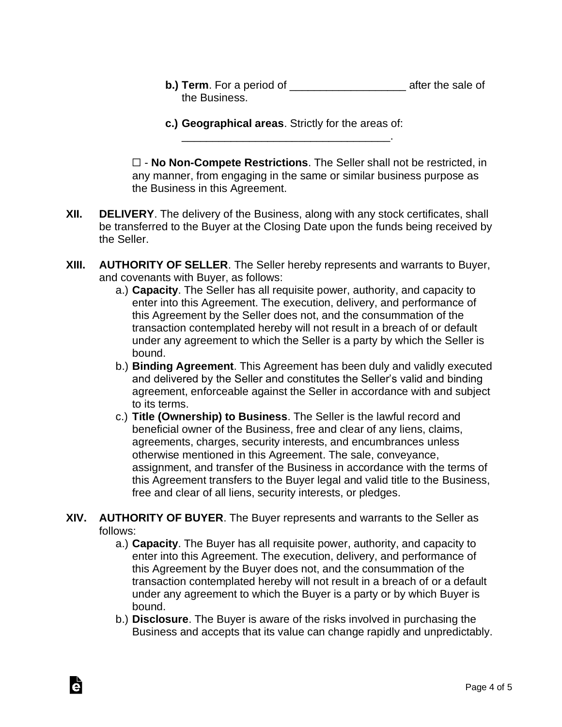- **b.) Term**. For a period of \_\_\_\_\_\_\_\_\_\_\_\_\_\_\_\_\_\_\_\_\_\_\_\_\_ after the sale of the Business.
- **c.) Geographical areas**. Strictly for the areas of: \_\_\_\_\_\_\_\_\_\_\_\_\_\_\_\_\_\_\_\_\_\_\_\_\_\_\_\_\_\_\_\_\_\_.

☐ - **No Non-Compete Restrictions**. The Seller shall not be restricted, in any manner, from engaging in the same or similar business purpose as the Business in this Agreement.

- **XII. DELIVERY**. The delivery of the Business, along with any stock certificates, shall be transferred to the Buyer at the Closing Date upon the funds being received by the Seller.
- **XIII. AUTHORITY OF SELLER**. The Seller hereby represents and warrants to Buyer, and covenants with Buyer, as follows:
	- a.) **Capacity**. The Seller has all requisite power, authority, and capacity to enter into this Agreement. The execution, delivery, and performance of this Agreement by the Seller does not, and the consummation of the transaction contemplated hereby will not result in a breach of or default under any agreement to which the Seller is a party by which the Seller is bound.
	- b.) **Binding Agreement**. This Agreement has been duly and validly executed and delivered by the Seller and constitutes the Seller's valid and binding agreement, enforceable against the Seller in accordance with and subject to its terms.
	- c.) **Title (Ownership) to Business**. The Seller is the lawful record and beneficial owner of the Business, free and clear of any liens, claims, agreements, charges, security interests, and encumbrances unless otherwise mentioned in this Agreement. The sale, conveyance, assignment, and transfer of the Business in accordance with the terms of this Agreement transfers to the Buyer legal and valid title to the Business, free and clear of all liens, security interests, or pledges.

## **XIV. AUTHORITY OF BUYER**. The Buyer represents and warrants to the Seller as follows:

Ġ

- a.) **Capacity**. The Buyer has all requisite power, authority, and capacity to enter into this Agreement. The execution, delivery, and performance of this Agreement by the Buyer does not, and the consummation of the transaction contemplated hereby will not result in a breach of or a default under any agreement to which the Buyer is a party or by which Buyer is bound.
- b.) **Disclosure**. The Buyer is aware of the risks involved in purchasing the Business and accepts that its value can change rapidly and unpredictably.